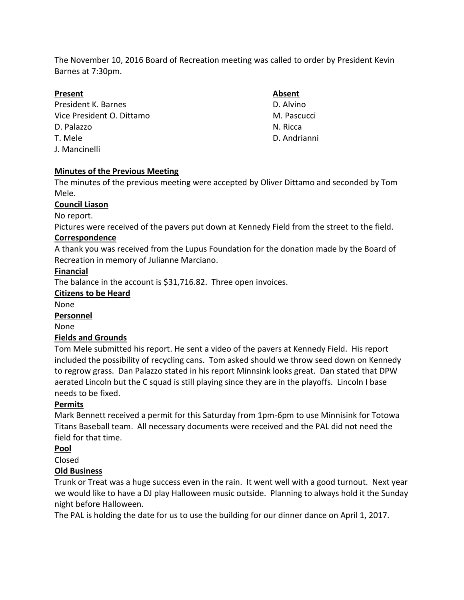The November 10, 2016 Board of Recreation meeting was called to order by President Kevin Barnes at 7:30pm.

## **Present Absent**

President K. Barnes **D. Alvino** Vice President O. Dittamo M. Pascucci D. Palazzo N. Ricca T. Mele D. Andrianni J. Mancinelli

## **Minutes of the Previous Meeting**

The minutes of the previous meeting were accepted by Oliver Dittamo and seconded by Tom Mele.

## **Council Liason**

No report.

Pictures were received of the pavers put down at Kennedy Field from the street to the field.

## **Correspondence**

A thank you was received from the Lupus Foundation for the donation made by the Board of Recreation in memory of Julianne Marciano.

## **Financial**

The balance in the account is \$31,716.82. Three open invoices.

## **Citizens to be Heard**

None

**Personnel**

None

## **Fields and Grounds**

Tom Mele submitted his report. He sent a video of the pavers at Kennedy Field. His report included the possibility of recycling cans. Tom asked should we throw seed down on Kennedy to regrow grass. Dan Palazzo stated in his report Minnsink looks great. Dan stated that DPW aerated Lincoln but the C squad is still playing since they are in the playoffs. Lincoln I base needs to be fixed.

## **Permits**

Mark Bennett received a permit for this Saturday from 1pm-6pm to use Minnisink for Totowa Titans Baseball team. All necessary documents were received and the PAL did not need the field for that time.

## **Pool**

## Closed

# **Old Business**

Trunk or Treat was a huge success even in the rain. It went well with a good turnout. Next year we would like to have a DJ play Halloween music outside. Planning to always hold it the Sunday night before Halloween.

The PAL is holding the date for us to use the building for our dinner dance on April 1, 2017.